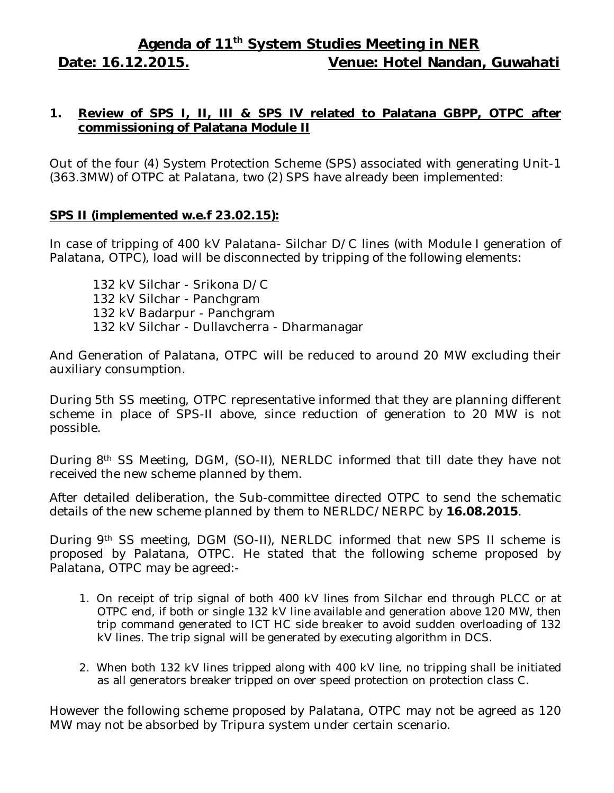# **Agenda of 11 th System Studies Meeting in NER Date: 16.12.2015. Venue: Hotel Nandan, Guwahati**

## **1. Review of SPS I, II, III & SPS IV related to Palatana GBPP, OTPC after commissioning of Palatana Module II**

Out of the four (4) System Protection Scheme (SPS) associated with generating Unit-1 (363.3MW) of OTPC at Palatana, two (2) SPS have already been implemented:

## **SPS II (implemented w.e.f 23.02.15):**

In case of tripping of 400 kV Palatana- Silchar D/C lines (with Module I generation of Palatana, OTPC), load will be disconnected by tripping of the following elements:

132 kV Silchar - Srikona D/C 132 kV Silchar - Panchgram 132 kV Badarpur - Panchgram 132 kV Silchar - Dullavcherra - Dharmanagar

And Generation of Palatana, OTPC will be reduced to around 20 MW excluding their auxiliary consumption.

During 5th SS meeting, OTPC representative informed that they are planning different scheme in place of SPS-II above, since reduction of generation to 20 MW is not possible.

During 8th SS Meeting, DGM, (SO-II), NERLDC informed that till date they have not received the new scheme planned by them.

After detailed deliberation, the Sub-committee directed OTPC to send the schematic details of the new scheme planned by them to NERLDC/NERPC by **16.08.2015**.

During 9th SS meeting, DGM (SO-II), NERLDC informed that new SPS II scheme is proposed by Palatana, OTPC. He stated that the following scheme proposed by Palatana, OTPC may be agreed:-

- 1. On receipt of trip signal of both 400 kV lines from Silchar end through PLCC or at OTPC end, if both or single 132 kV line available and generation above 120 MW, then trip command generated to ICT HC side breaker to avoid sudden overloading of 132 kV lines. The trip signal will be generated by executing algorithm in DCS.
- 2. When both 132 kV lines tripped along with 400 kV line, no tripping shall be initiated as all generators breaker tripped on over speed protection on protection class C.

However the following scheme proposed by Palatana, OTPC may not be agreed as 120 MW may not be absorbed by Tripura system under certain scenario.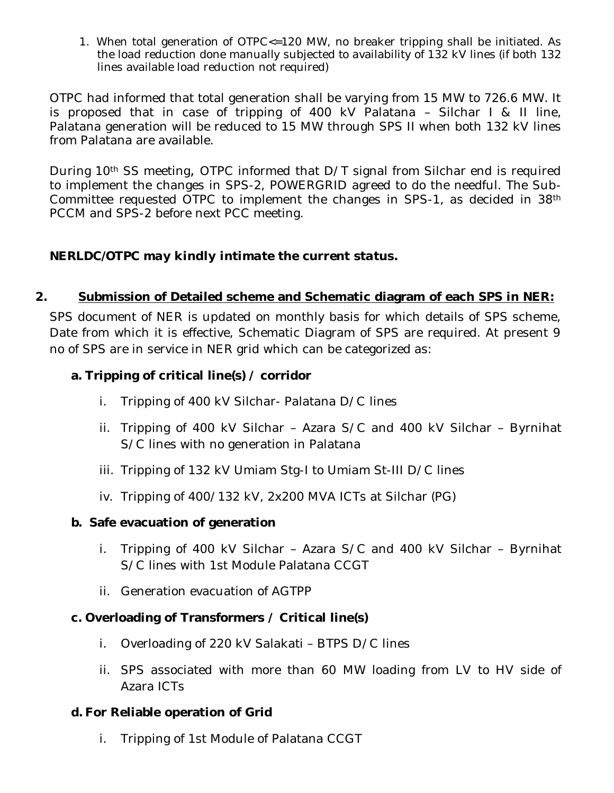1. When total generation of OTPC<=120 MW, no breaker tripping shall be initiated. As the load reduction done manually subjected to availability of 132 kV lines (if both 132 lines available load reduction not required)

OTPC had informed that total generation shall be varying from 15 MW to 726.6 MW. It is proposed that in case of tripping of 400 kV Palatana – Silchar I & II line, Palatana generation will be reduced to 15 MW through SPS II when both 132 kV lines from Palatana are available.

During 10<sup>th</sup> SS meeting, OTPC informed that D/T signal from Silchar end is required to implement the changes in SPS-2, POWERGRID agreed to do the needful. The Sub-Committee requested OTPC to implement the changes in SPS-1, as decided in 38th PCCM and SPS-2 before next PCC meeting.

# *NERLDC/OTPC may kindly intimate the current status.*

# **2. Submission of Detailed scheme and Schematic diagram of each SPS in NER:**

SPS document of NER is updated on monthly basis for which details of SPS scheme, Date from which it is effective, Schematic Diagram of SPS are required. At present 9 no of SPS are in service in NER grid which can be categorized as:

## **a. Tripping of critical line(s) / corridor**

- i. Tripping of 400 kV Silchar- Palatana D/C lines
- ii. Tripping of 400 kV Silchar Azara S/C and 400 kV Silchar Byrnihat S/C lines with no generation in Palatana
- iii. Tripping of 132 kV Umiam Stg-I to Umiam St-III D/C lines
- iv. Tripping of 400/132 kV, 2x200 MVA ICTs at Silchar (PG)

## **b. Safe evacuation of generation**

- i. Tripping of 400 kV Silchar Azara S/C and 400 kV Silchar Byrnihat S/C lines with 1st Module Palatana CCGT
- ii. Generation evacuation of AGTPP

## **c. Overloading of Transformers / Critical line(s)**

- i. Overloading of 220 kV Salakati BTPS D/C lines
- ii. SPS associated with more than 60 MW loading from LV to HV side of Azara ICTs

## **d. For Reliable operation of Grid**

i. Tripping of 1st Module of Palatana CCGT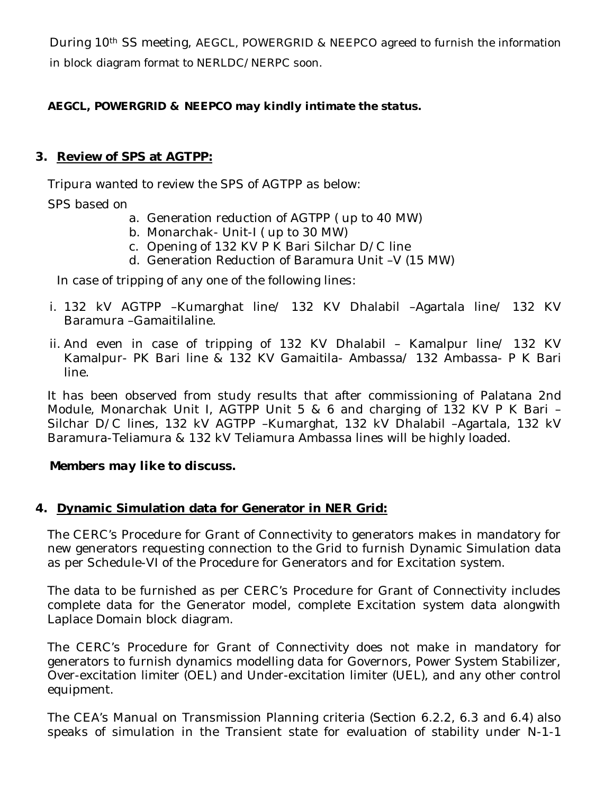During 10<sup>th</sup> SS meeting, AEGCL, POWERGRID & NEEPCO agreed to furnish the information in block diagram format to NERLDC/NERPC soon.

# *AEGCL, POWERGRID & NEEPCO may kindly intimate the status.*

## **3. Review of SPS at AGTPP:**

Tripura wanted to review the SPS of AGTPP as below:

SPS based on

- a. Generation reduction of AGTPP ( up to 40 MW)
- b. Monarchak- Unit-I ( up to 30 MW)
- c. Opening of 132 KV P K Bari Silchar D/C line
- d. Generation Reduction of Baramura Unit –V (15 MW)

In case of tripping of any one of the following lines:

- i. 132 kV AGTPP –Kumarghat line/ 132 KV Dhalabil –Agartala line/ 132 KV Baramura –Gamaitilaline.
- ii. And even in case of tripping of 132 KV Dhalabil Kamalpur line/ 132 KV Kamalpur- PK Bari line & 132 KV Gamaitila- Ambassa/ 132 Ambassa- P K Bari line.

It has been observed from study results that after commissioning of Palatana 2nd Module, Monarchak Unit I, AGTPP Unit 5 & 6 and charging of 132 KV P K Bari – Silchar D/C lines, 132 kV AGTPP –Kumarghat, 132 kV Dhalabil –Agartala, 132 kV Baramura-Teliamura & 132 kV Teliamura Ambassa lines will be highly loaded.

## *Members may like to discuss.*

## **4. Dynamic Simulation data for Generator in NER Grid:**

The CERC's Procedure for Grant of Connectivity to generators makes in mandatory for new generators requesting connection to the Grid to furnish Dynamic Simulation data as per Schedule-VI of the Procedure for Generators and for Excitation system.

The data to be furnished as per CERC's Procedure for Grant of Connectivity includes complete data for the Generator model, complete Excitation system data alongwith Laplace Domain block diagram.

The CERC's Procedure for Grant of Connectivity does not make in mandatory for generators to furnish dynamics modelling data for Governors, Power System Stabilizer, Over-excitation limiter (OEL) and Under-excitation limiter (UEL), and any other control equipment.

The CEA's Manual on Transmission Planning criteria (Section 6.2.2, 6.3 and 6.4) also speaks of simulation in the Transient state for evaluation of stability under N-1-1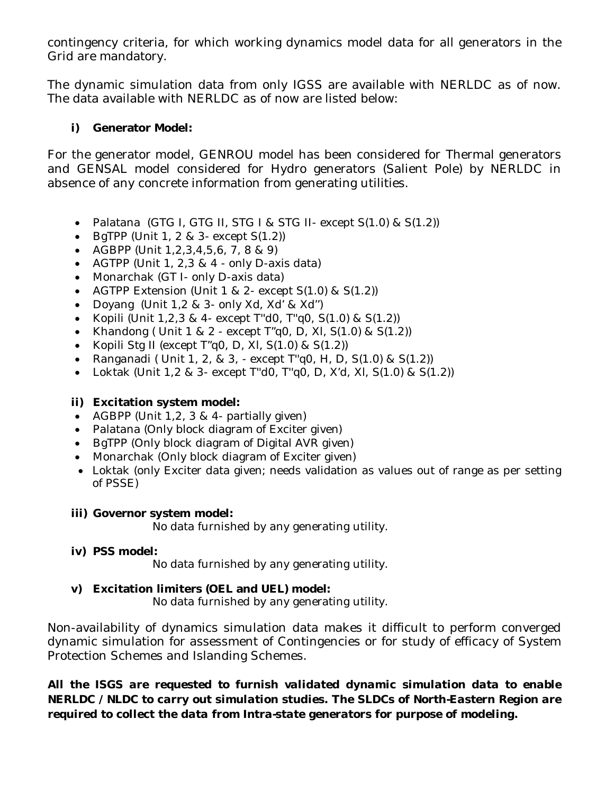contingency criteria, for which working dynamics model data for all generators in the Grid are mandatory.

The dynamic simulation data from only IGSS are available with NERLDC as of now. The data available with NERLDC as of now are listed below:

## **i) Generator Model:**

For the generator model, GENROU model has been considered for Thermal generators and GENSAL model considered for Hydro generators (Salient Pole) by NERLDC in absence of any concrete information from generating utilities.

- Palatana (GTG I, GTG II, STG I & STG II- except S(1.0) & S(1.2))
- $\bullet$  BgTPP (Unit 1, 2 & 3- except  $S(1.2)$ )
- AGBPP (Unit  $1, 2, 3, 4, 5, 6, 7, 8, 8, 9$ )
- AGTPP (Unit 1, 2,3 & 4 only D-axis data)
- Monarchak (GT I- only D-axis data)
- AGTPP Extension (Unit 1 & 2- except S(1.0) & S(1.2))
- Doyang (Unit 1,2 & 3- only Xd, Xd' & Xd'')
- Kopili (Unit 1,2,3 & 4- except T"d0, T"q0,  $S(1.0)$  &  $S(1.2)$ )
- Khandong ( Unit  $1 \& 2$  except  $T''q0$ , D, XI,  $S(1.0) \& S(1.2)$ )
- Kopili Stg II (except  $T''$ q0, D, XI, S(1.0) & S(1.2))
- Ranganadi ( Unit 1, 2, & 3, except T"q0, H, D,  $S(1.0)$  &  $S(1.2)$ )
- Loktak (Unit  $1,2 \& 3$  except T"d0, T"q0, D, X'd, XI, S(1.0) & S(1.2))

# **ii) Excitation system model:**

- AGBPP (Unit  $1, 2, 3 \& 4$  partially given)
- Palatana (Only block diagram of Exciter given)
- BgTPP (Only block diagram of Digital AVR given)
- Monarchak (Only block diagram of Exciter given)
- Loktak (only Exciter data given; needs validation as values out of range as per setting of PSSE)

## **iii) Governor system model:**

No data furnished by any generating utility.

## **iv) PSS model:**

No data furnished by any generating utility.

## **v) Excitation limiters (OEL and UEL) model:**

No data furnished by any generating utility.

Non-availability of dynamics simulation data makes it difficult to perform converged dynamic simulation for assessment of Contingencies or for study of efficacy of System Protection Schemes and Islanding Schemes.

*All the ISGS are requested to furnish validated dynamic simulation data to enable NERLDC / NLDC to carry out simulation studies. The SLDCs of North-Eastern Region are required to collect the data from Intra-state generators for purpose of modeling.*